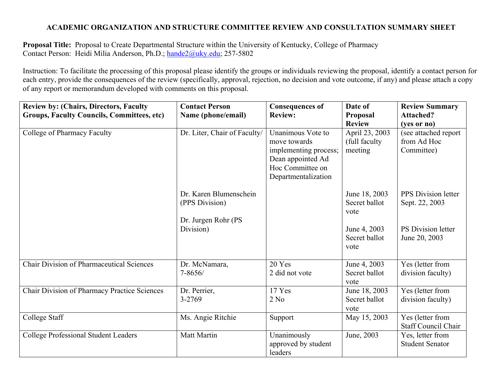## **ACADEMIC ORGANIZATION AND STRUCTURE COMMITTEE REVIEW AND CONSULTATION SUMMARY SHEET**

**Proposal Title:** Proposal to Create Departmental Structure within the University of Kentucky, College of Pharmacy Contact Person: Heidi Milia Anderson, Ph.D.; hande2@uky.edu; 257-5802

Instruction: To facilitate the processing of this proposal please identify the groups or individuals reviewing the proposal, identify a contact person for each entry, provide the consequences of the review (specifically, approval, rejection, no decision and vote outcome, if any) and please attach a copy of any report or memorandum developed with comments on this proposal.

| <b>Review by: (Chairs, Directors, Faculty</b>     | <b>Contact Person</b>                                                        | <b>Consequences of</b>                                                                                                     | Date of                                                                         | <b>Review Summary</b>                                                               |
|---------------------------------------------------|------------------------------------------------------------------------------|----------------------------------------------------------------------------------------------------------------------------|---------------------------------------------------------------------------------|-------------------------------------------------------------------------------------|
| <b>Groups, Faculty Councils, Committees, etc)</b> | Name (phone/email)                                                           | <b>Review:</b>                                                                                                             | Proposal                                                                        | <b>Attached?</b>                                                                    |
|                                                   |                                                                              |                                                                                                                            | <b>Review</b>                                                                   | (yes or no)                                                                         |
| College of Pharmacy Faculty                       | Dr. Liter, Chair of Faculty/                                                 | Unanimous Vote to<br>move towards<br>implementing process;<br>Dean appointed Ad<br>Hoc Committee on<br>Departmentalization | April 23, 2003<br>(full faculty)<br>meeting                                     | (see attached report<br>from Ad Hoc<br>Committee)                                   |
|                                                   | Dr. Karen Blumenschein<br>(PPS Division)<br>Dr. Jurgen Rohr (PS<br>Division) |                                                                                                                            | June 18, 2003<br>Secret ballot<br>vote<br>June 4, 2003<br>Secret ballot<br>vote | <b>PPS</b> Division letter<br>Sept. 22, 2003<br>PS Division letter<br>June 20, 2003 |
| <b>Chair Division of Pharmaceutical Sciences</b>  | Dr. McNamara,<br>$7 - 8656/$                                                 | 20 Yes<br>2 did not vote                                                                                                   | June 4, 2003<br>Secret ballot<br>vote                                           | Yes (letter from<br>division faculty)                                               |
| Chair Division of Pharmacy Practice Sciences      | Dr. Perrier,<br>3-2769                                                       | 17 Yes<br>2 No                                                                                                             | June 18, 2003<br>Secret ballot<br>vote                                          | Yes (letter from<br>division faculty)                                               |
| College Staff                                     | Ms. Angie Ritchie                                                            | Support                                                                                                                    | May 15, 2003                                                                    | Yes (letter from<br><b>Staff Council Chair</b>                                      |
| <b>College Professional Student Leaders</b>       | Matt Martin                                                                  | Unanimously<br>approved by student<br>leaders                                                                              | June, 2003                                                                      | Yes, letter from<br><b>Student Senator</b>                                          |